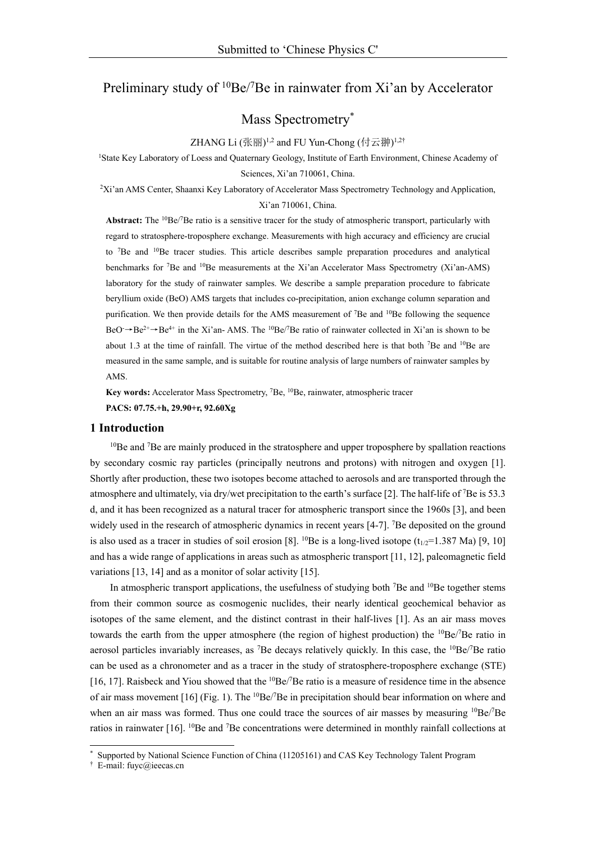# Preliminary study of  $10Be/7Be$  in rainwater from Xi'an by Accelerator

Mass Spectrometry\*

#### ZHANG Li  $(\mathbb{K}\,\overline{\mathbb{m}})^{1,2}$  and FU Yun-Chong  $(\dagger\overline{\Xi} \, \mathbb{m})^{1,2\dagger}$

1State Key Laboratory of Loess and Quaternary Geology, Institute of Earth Environment, Chinese Academy of Sciences, Xi'an 710061, China.

2Xi'an AMS Center, Shaanxi Key Laboratory of Accelerator Mass Spectrometry Technology and Application, Xi'an 710061, China.

Abstract: The <sup>10</sup>Be/<sup>7</sup>Be ratio is a sensitive tracer for the study of atmospheric transport, particularly with regard to stratosphere-troposphere exchange. Measurements with high accuracy and efficiency are crucial to 7Be and 10Be tracer studies. This article describes sample preparation procedures and analytical benchmarks for <sup>7</sup>Be and <sup>10</sup>Be measurements at the Xi'an Accelerator Mass Spectrometry (Xi'an-AMS) laboratory for the study of rainwater samples. We describe a sample preparation procedure to fabricate beryllium oxide (BeO) AMS targets that includes co-precipitation, anion exchange column separation and purification. We then provide details for the AMS measurement of <sup>7</sup>Be and <sup>10</sup>Be following the sequence  $BeO \rightarrow Be^{2+} \rightarrow Be^{4+}$  in the Xi'an-AMS. The <sup>10</sup>Be/<sup>7</sup>Be ratio of rainwater collected in Xi'an is shown to be about 1.3 at the time of rainfall. The virtue of the method described here is that both 7Be and 10Be are measured in the same sample, and is suitable for routine analysis of large numbers of rainwater samples by AMS.

Key words: Accelerator Mass Spectrometry, <sup>7</sup>Be, <sup>10</sup>Be, rainwater, atmospheric tracer

**PACS: 07.75.+h, 29.90+r, 92.60Xg** 

## **1 Introduction**

 $10$ Be and  $7$ Be are mainly produced in the stratosphere and upper troposphere by spallation reactions by secondary cosmic ray particles (principally neutrons and protons) with nitrogen and oxygen [1]. Shortly after production, these two isotopes become attached to aerosols and are transported through the atmosphere and ultimately, via dry/wet precipitation to the earth's surface [2]. The half-life of <sup>7</sup>Be is 53.3 d, and it has been recognized as a natural tracer for atmospheric transport since the 1960s [3], and been widely used in the research of atmospheric dynamics in recent years [4-7]. <sup>7</sup>Be deposited on the ground is also used as a tracer in studies of soil erosion [8]. <sup>10</sup>Be is a long-lived isotope ( $t_{1/2}$ =1.387 Ma) [9, 10] and has a wide range of applications in areas such as atmospheric transport [11, 12], paleomagnetic field variations [13, 14] and as a monitor of solar activity [15].

In atmospheric transport applications, the usefulness of studying both  $\text{7Be}$  and  $\text{^{10}Be}$  together stems from their common source as cosmogenic nuclides, their nearly identical geochemical behavior as isotopes of the same element, and the distinct contrast in their half-lives [1]. As an air mass moves towards the earth from the upper atmosphere (the region of highest production) the  ${}^{10}Be/{}^{7}Be$  ratio in aerosol particles invariably increases, as <sup>7</sup>Be decays relatively quickly. In this case, the <sup>10</sup>Be/<sup>7</sup>Be ratio can be used as a chronometer and as a tracer in the study of stratosphere-troposphere exchange (STE) [16, 17]. Raisbeck and Yiou showed that the  ${}^{10}Be/{}^{7}Be$  ratio is a measure of residence time in the absence of air mass movement [16] (Fig. 1). The <sup>10</sup>Be/<sup>7</sup>Be in precipitation should bear information on where and when an air mass was formed. Thus one could trace the sources of air masses by measuring  ${}^{10}Be/{}^{7}Be$ ratios in rainwater [16]. <sup>10</sup>Be and <sup>7</sup>Be concentrations were determined in monthly rainfall collections at

<u>.</u>

Supported by National Science Function of China (11205161) and CAS Key Technology Talent Program

<sup>†</sup> E-mail: fuyc@ieecas.cn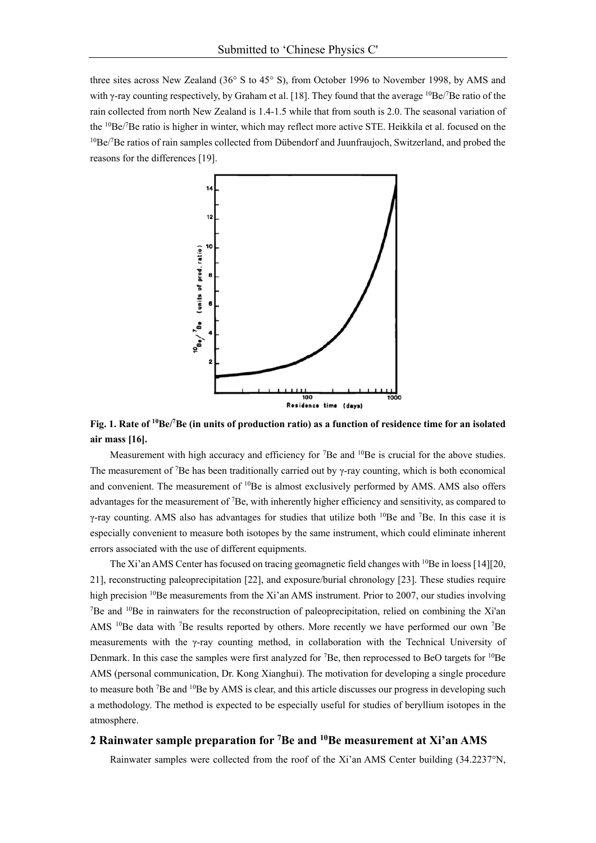three sites across New Zealand (36° S to 45° S), from October 1996 to November 1998, by AMS and with  $\gamma$ -ray counting respectively, by Graham et al. [18]. They found that the average  ${}^{10}$ Be/7Be ratio of the rain collected from north New Zealand is 1.4-1.5 while that from south is 2.0. The seasonal variation of the <sup>10</sup>Be/<sup>7</sup>Be ratio is higher in winter, which may reflect more active STE. Heikkila et al. focused on the  $10$ Be/ $7$ Be ratios of rain samples collected from Dübendorf and Juunfraujoch, Switzerland, and probed the reasons for the differences [19].



Fig. 1. Rate of <sup>10</sup>Be/<sup>7</sup>Be (in units of production ratio) as a function of residence time for an isolated **air mass [16].** 

Measurement with high accuracy and efficiency for <sup>7</sup>Be and <sup>10</sup>Be is crucial for the above studies. The measurement of <sup>7</sup>Be has been traditionally carried out by  $\gamma$ -ray counting, which is both economical and convenient. The measurement of 10Be is almost exclusively performed by AMS. AMS also offers advantages for the measurement of <sup>7</sup>Be, with inherently higher efficiency and sensitivity, as compared to γ-ray counting. AMS also has advantages for studies that utilize both  $^{10}$ Be and <sup>7</sup>Be. In this case it is especially convenient to measure both isotopes by the same instrument, which could eliminate inherent errors associated with the use of different equipments.

The Xi'an AMS Center has focused on tracing geomagnetic field changes with <sup>10</sup>Be in loess [14][20, 21], reconstructing paleoprecipitation [22], and exposure/burial chronology [23]. These studies require high precision  $10B$ e measurements from the Xi'an AMS instrument. Prior to 2007, our studies involving <sup>7</sup>Be and <sup>10</sup>Be in rainwaters for the reconstruction of paleoprecipitation, relied on combining the Xi'an AMS  $^{10}$ Be data with <sup>7</sup>Be results reported by others. More recently we have performed our own <sup>7</sup>Be measurements with the γ-ray counting method, in collaboration with the Technical University of Denmark. In this case the samples were first analyzed for <sup>7</sup>Be, then reprocessed to BeO targets for <sup>10</sup>Be AMS (personal communication, Dr. Kong Xianghui). The motivation for developing a single procedure to measure both <sup>7</sup>Be and <sup>10</sup>Be by AMS is clear, and this article discusses our progress in developing such a methodology. The method is expected to be especially useful for studies of beryllium isotopes in the atmosphere.

# **2 Rainwater sample preparation for 7Be and 10Be measurement at Xi'an AMS**

Rainwater samples were collected from the roof of the Xi'an AMS Center building (34.2237°N,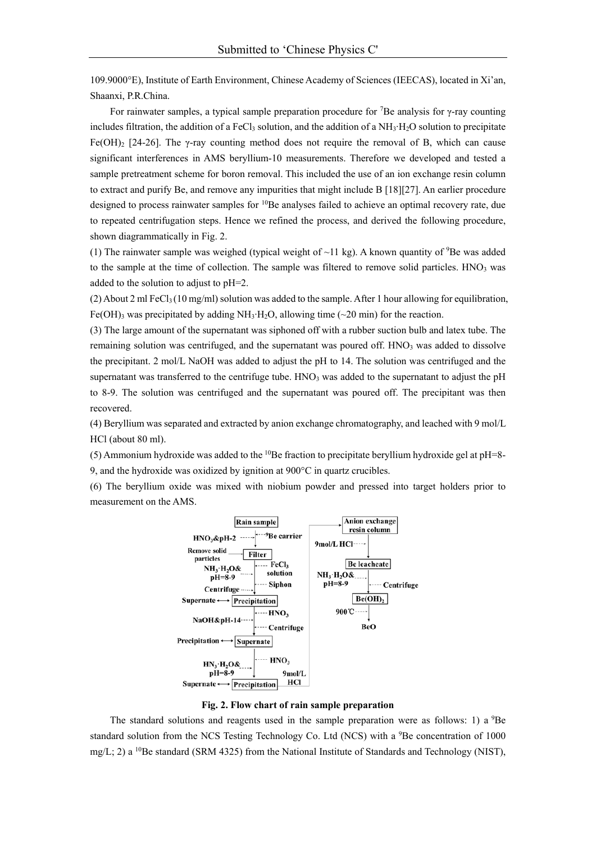109.9000°E), Institute of Earth Environment, Chinese Academy of Sciences (IEECAS), located in Xi'an, Shaanxi, P.R.China.

For rainwater samples, a typical sample preparation procedure for <sup>7</sup>Be analysis for γ-ray counting includes filtration, the addition of a FeCl<sub>3</sub> solution, and the addition of a NH<sub>3</sub>⋅H<sub>2</sub>O solution to precipitate Fe(OH)<sub>2</sub> [24-26]. The  $\gamma$ -ray counting method does not require the removal of B, which can cause significant interferences in AMS beryllium-10 measurements. Therefore we developed and tested a sample pretreatment scheme for boron removal. This included the use of an ion exchange resin column to extract and purify Be, and remove any impurities that might include B [18][27]. An earlier procedure designed to process rainwater samples for 10Be analyses failed to achieve an optimal recovery rate, due to repeated centrifugation steps. Hence we refined the process, and derived the following procedure, shown diagrammatically in Fig. 2.

(1) The rainwater sample was weighed (typical weight of  $\sim$ 11 kg). A known quantity of <sup>9</sup>Be was added to the sample at the time of collection. The sample was filtered to remove solid particles. HNO<sub>3</sub> was added to the solution to adjust to pH=2.

(2) About 2 ml FeCl<sub>3</sub> (10 mg/ml) solution was added to the sample. After 1 hour allowing for equilibration, Fe(OH)<sub>3</sub> was precipitated by adding NH<sub>3</sub>⋅H<sub>2</sub>O, allowing time (~20 min) for the reaction.

(3) The large amount of the supernatant was siphoned off with a rubber suction bulb and latex tube. The remaining solution was centrifuged, and the supernatant was poured off.  $HNO<sub>3</sub>$  was added to dissolve the precipitant. 2 mol/L NaOH was added to adjust the pH to 14. The solution was centrifuged and the supernatant was transferred to the centrifuge tube.  $HNO<sub>3</sub>$  was added to the supernatant to adjust the pH to 8-9. The solution was centrifuged and the supernatant was poured off. The precipitant was then recovered.

(4) Beryllium was separated and extracted by anion exchange chromatography, and leached with 9 mol/L HCl (about 80 ml).

(5) Ammonium hydroxide was added to the  $10$ Be fraction to precipitate beryllium hydroxide gel at pH=8-9, and the hydroxide was oxidized by ignition at 900°C in quartz crucibles.

(6) The beryllium oxide was mixed with niobium powder and pressed into target holders prior to measurement on the AMS.



**Fig. 2. Flow chart of rain sample preparation** 

The standard solutions and reagents used in the sample preparation were as follows: 1) a 9Be standard solution from the NCS Testing Technology Co. Ltd (NCS) with a <sup>9</sup>Be concentration of 1000 mg/L; 2) a <sup>10</sup>Be standard (SRM 4325) from the National Institute of Standards and Technology (NIST),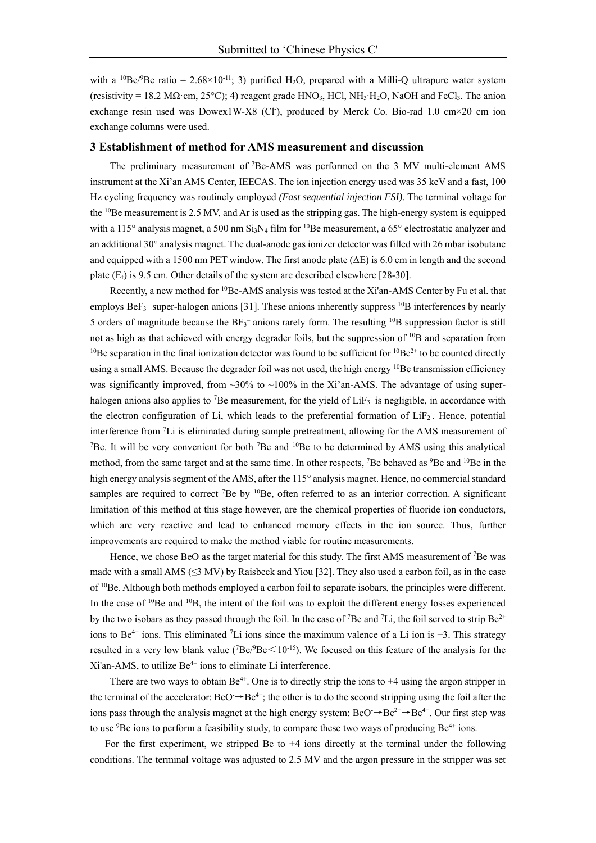with a <sup>10</sup>Be/<sup>9</sup>Be ratio = 2.68×10<sup>-11</sup>; 3) purified H<sub>2</sub>O, prepared with a Milli-Q ultrapure water system (resistivity = 18.2 M $\Omega$ ·cm, 25°C); 4) reagent grade HNO<sub>3</sub>, HCl, NH<sub>3</sub>⋅H<sub>2</sub>O, NaOH and FeCl<sub>3</sub>. The anion exchange resin used was Dowex1W-X8 (Cl<sup>-</sup>), produced by Merck Co. Bio-rad 1.0 cm $\times$ 20 cm ion exchange columns were used.

## **3 Establishment of method for AMS measurement and discussion**

The preliminary measurement of 7Be-AMS was performed on the 3 MV multi-element AMS instrument at the Xi'an AMS Center, IEECAS. The ion injection energy used was 35 keV and a fast, 100 Hz cycling frequency was routinely employed *(Fast sequential injection FSI)*. The terminal voltage for the 10Be measurement is 2.5 MV, and Ar is used as the stripping gas. The high-energy system is equipped with a 115° analysis magnet, a 500 nm Si<sub>3</sub>N<sub>4</sub> film for <sup>10</sup>Be measurement, a 65° electrostatic analyzer and an additional 30° analysis magnet. The dual-anode gas ionizer detector was filled with 26 mbar isobutane and equipped with a 1500 nm PET window. The first anode plate  $(\Delta E)$  is 6.0 cm in length and the second plate  $(E_f)$  is 9.5 cm. Other details of the system are described elsewhere [28-30].

Recently, a new method for 10Be-AMS analysis was tested at the Xi'an-AMS Center by Fu et al. that employs  $BeF_3^-$  super-halogen anions [31]. These anions inherently suppress  $^{10}B$  interferences by nearly 5 orders of magnitude because the  $BF_3^-$  anions rarely form. The resulting  $^{10}B$  suppression factor is still not as high as that achieved with energy degrader foils, but the suppression of <sup>10</sup>B and separation from <sup>10</sup>Be separation in the final ionization detector was found to be sufficient for <sup>10</sup>Be<sup>2+</sup> to be counted directly using a small AMS. Because the degrader foil was not used, the high energy <sup>10</sup>Be transmission efficiency was significantly improved, from  $\sim$ 30% to  $\sim$ 100% in the Xi'an-AMS. The advantage of using superhalogen anions also applies to <sup>7</sup>Be measurement, for the yield of  $LiF_3$  is negligible, in accordance with the electron configuration of Li, which leads to the preferential formation of LiF<sub>2</sub>. Hence, potential interference from 7 Li is eliminated during sample pretreatment, allowing for the AMS measurement of <sup>7</sup>Be. It will be very convenient for both <sup>7</sup>Be and  $10B$ e to be determined by AMS using this analytical method, from the same target and at the same time. In other respects, <sup>7</sup>Be behaved as <sup>9</sup>Be and <sup>10</sup>Be in the high energy analysis segment of the AMS, after the 115° analysis magnet. Hence, no commercial standard samples are required to correct <sup>7</sup>Be by <sup>10</sup>Be, often referred to as an interior correction. A significant limitation of this method at this stage however, are the chemical properties of fluoride ion conductors, which are very reactive and lead to enhanced memory effects in the ion source. Thus, further improvements are required to make the method viable for routine measurements.

Hence, we chose BeO as the target material for this study. The first AMS measurement of <sup>7</sup>Be was made with a small AMS  $(\leq 3$  MV) by Raisbeck and Yiou [32]. They also used a carbon foil, as in the case of 10Be. Although both methods employed a carbon foil to separate isobars, the principles were different. In the case of  $^{10}$ Be and  $^{10}$ B, the intent of the foil was to exploit the different energy losses experienced by the two isobars as they passed through the foil. In the case of <sup>7</sup>Be and <sup>7</sup>Li, the foil served to strip  $Be^{2+}$ ions to Be<sup>4+</sup> ions. This eliminated <sup>7</sup>Li ions since the maximum valence of a Li ion is +3. This strategy resulted in a very low blank value ( $7Be/9Be<10^{-15}$ ). We focused on this feature of the analysis for the  $Xi'$ an-AMS, to utilize  $Be^{4+}$  ions to eliminate Li interference.

There are two ways to obtain  $Be^{4+}$ . One is to directly strip the ions to  $+4$  using the argon stripper in the terminal of the accelerator:  $BeO \rightarrow Be^{4+}$ ; the other is to do the second stripping using the foil after the ions pass through the analysis magnet at the high energy system:  $BeO \rightarrow Be^{2+} \rightarrow Be^{4+}$ . Our first step was to use  ${}^{9}$ Be ions to perform a feasibility study, to compare these two ways of producing  $Be^{4+}$  ions.

For the first experiment, we stripped Be to +4 ions directly at the terminal under the following conditions. The terminal voltage was adjusted to 2.5 MV and the argon pressure in the stripper was set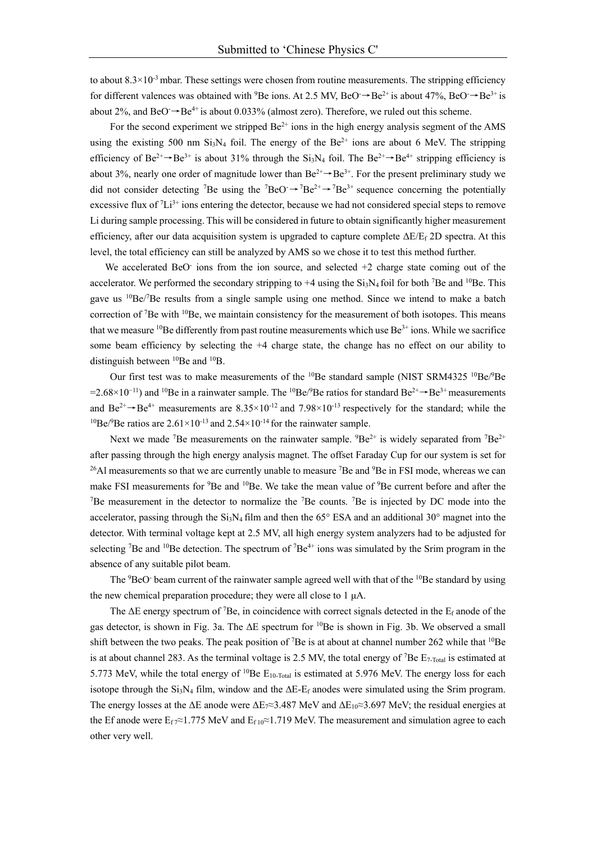to about  $8.3 \times 10^{-3}$  mbar. These settings were chosen from routine measurements. The stripping efficiency for different valences was obtained with <sup>9</sup>Be ions. At 2.5 MV, BeO  $\rightarrow$  Be<sup>2+</sup> is about 47%, BeO  $\rightarrow$  Be<sup>3+</sup> is about 2%, and BeO<sup>-</sup> $\rightarrow$ Be<sup>4+</sup> is about 0.033% (almost zero). Therefore, we ruled out this scheme.

For the second experiment we stripped  $Be^{2+}$  ions in the high energy analysis segment of the AMS using the existing 500 nm Si<sub>3</sub>N<sub>4</sub> foil. The energy of the Be<sup>2+</sup> ions are about 6 MeV. The stripping efficiency of Be<sup>2+</sup>→Be<sup>3+</sup> is about 31% through the Si<sub>3</sub>N<sub>4</sub> foil. The Be<sup>2+</sup>→Be<sup>4+</sup> stripping efficiency is about 3%, nearly one order of magnitude lower than  $Be^{2+} \rightarrow Be^{3+}$ . For the present preliminary study we did not consider detecting <sup>7</sup>Be using the <sup>7</sup>BeO<sup>-</sup> $\rightarrow$ 7Be<sup>2+</sup> $\rightarrow$ 7Be<sup>3+</sup> sequence concerning the potentially excessive flux of  ${}^{7}Li^{3+}$  ions entering the detector, because we had not considered special steps to remove Li during sample processing. This will be considered in future to obtain significantly higher measurement efficiency, after our data acquisition system is upgraded to capture complete  $\Delta E/E_f$  2D spectra. At this level, the total efficiency can still be analyzed by AMS so we chose it to test this method further.

We accelerated BeO<sup>-</sup> ions from the ion source, and selected  $+2$  charge state coming out of the accelerator. We performed the secondary stripping to  $+4$  using the  $Si<sub>3</sub>N<sub>4</sub>$  foil for both <sup>7</sup>Be and <sup>10</sup>Be. This gave us <sup>10</sup>Be/<sup>7</sup>Be results from a single sample using one method. Since we intend to make a batch correction of <sup>7</sup>Be with <sup>10</sup>Be, we maintain consistency for the measurement of both isotopes. This means that we measure  $10Be$  differently from past routine measurements which use  $Be<sup>3+</sup>$  ions. While we sacrifice some beam efficiency by selecting the +4 charge state, the change has no effect on our ability to distinguish between <sup>10</sup>Be and <sup>10</sup>B.

Our first test was to make measurements of the  $^{10}$ Be standard sample (NIST SRM4325  $^{10}$ Be/ $^{9}$ Be  $=2.68\times10^{-11}$ ) and <sup>10</sup>Be in a rainwater sample. The <sup>10</sup>Be/<sup>9</sup>Be ratios for standard Be<sup>2+</sup>→Be<sup>3+</sup> measurements and Be<sup>2+</sup> $\rightarrow$ Be<sup>4+</sup> measurements are 8.35×10<sup>-12</sup> and 7.98×10<sup>-13</sup> respectively for the standard; while the <sup>10</sup>Be/<sup>9</sup>Be ratios are 2.61×10<sup>-13</sup> and 2.54×10<sup>-14</sup> for the rainwater sample.

Next we made <sup>7</sup>Be measurements on the rainwater sample.  ${}^{9}Be^{2+}$  is widely separated from  ${}^{7}Be^{2+}$ after passing through the high energy analysis magnet. The offset Faraday Cup for our system is set for <sup>26</sup>Al measurements so that we are currently unable to measure <sup>7</sup>Be and <sup>9</sup>Be in FSI mode, whereas we can make FSI measurements for <sup>9</sup>Be and <sup>10</sup>Be. We take the mean value of <sup>9</sup>Be current before and after the <sup>7</sup>Be measurement in the detector to normalize the <sup>7</sup>Be counts. <sup>7</sup>Be is injected by DC mode into the accelerator, passing through the Si<sub>3</sub>N<sub>4</sub> film and then the 65° ESA and an additional 30° magnet into the detector. With terminal voltage kept at 2.5 MV, all high energy system analyzers had to be adjusted for selecting <sup>7</sup>Be and <sup>10</sup>Be detection. The spectrum of <sup>7</sup>Be<sup>4+</sup> ions was simulated by the Srim program in the absence of any suitable pilot beam.

The <sup>9</sup>BeO<sup>-</sup> beam current of the rainwater sample agreed well with that of the <sup>10</sup>Be standard by using the new chemical preparation procedure; they were all close to 1 μA.

The  $\Delta E$  energy spectrum of <sup>7</sup>Be, in coincidence with correct signals detected in the  $E_f$  anode of the gas detector, is shown in Fig. 3a. The  $\Delta E$  spectrum for <sup>10</sup>Be is shown in Fig. 3b. We observed a small shift between the two peaks. The peak position of  ${}^{7}Be$  is at about at channel number 262 while that  ${}^{10}Be$ is at about channel 283. As the terminal voltage is 2.5 MV, the total energy of  $^7$ Be  $E_{7-Total}$  is estimated at 5.773 MeV, while the total energy of <sup>10</sup>Be E<sub>10-Total</sub> is estimated at 5.976 MeV. The energy loss for each isotope through the Si<sub>3</sub>N<sub>4</sub> film, window and the  $\Delta E$ -E<sub>f</sub> anodes were simulated using the Srim program. The energy losses at the  $\Delta E$  anode were  $\Delta E_7 \approx 3.487$  MeV and  $\Delta E_{10} \approx 3.697$  MeV; the residual energies at the Ef anode were  $E_f \approx 1.775$  MeV and  $E_{f,10} \approx 1.719$  MeV. The measurement and simulation agree to each other very well.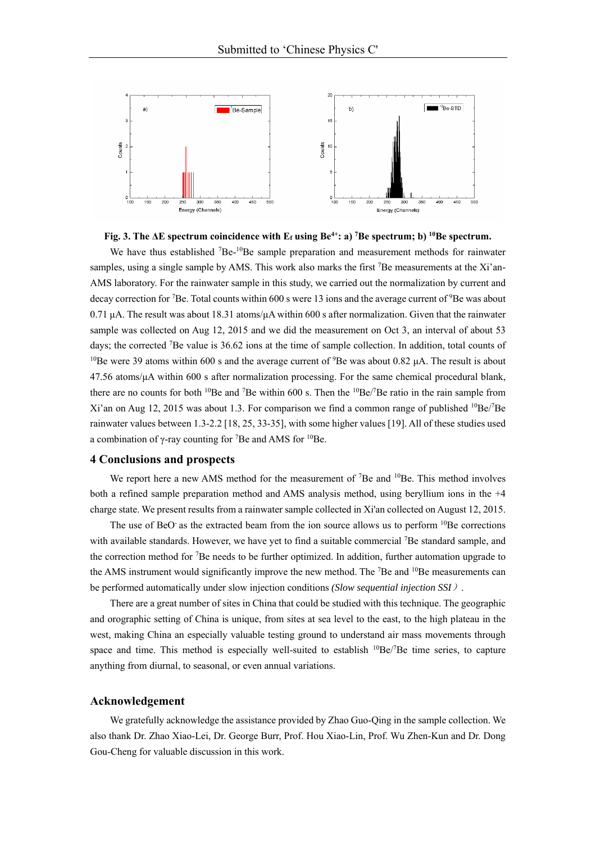



We have thus established <sup>7</sup>Be-<sup>10</sup>Be sample preparation and measurement methods for rainwater samples, using a single sample by AMS. This work also marks the first <sup>7</sup>Be measurements at the Xi'an-AMS laboratory. For the rainwater sample in this study, we carried out the normalization by current and decay correction for <sup>7</sup>Be. Total counts within 600 s were 13 ions and the average current of <sup>9</sup>Be was about 0.71 μA. The result was about 18.31 atoms/μA within 600 s after normalization. Given that the rainwater sample was collected on Aug 12, 2015 and we did the measurement on Oct 3, an interval of about 53 days; the corrected <sup>7</sup>Be value is 36.62 ions at the time of sample collection. In addition, total counts of <sup>10</sup>Be were 39 atoms within 600 s and the average current of <sup>9</sup>Be was about 0.82 μA. The result is about  $47.56$  atoms/ $\mu$ A within 600 s after normalization processing. For the same chemical procedural blank, there are no counts for both <sup>10</sup>Be and <sup>7</sup>Be within 600 s. Then the  ${}^{10}Be$ /<sup>7</sup>Be ratio in the rain sample from Xi'an on Aug 12, 2015 was about 1.3. For comparison we find a common range of published <sup>10</sup>Be/<sup>7</sup>Be rainwater values between 1.3-2.2 [18, 25, 33-35], with some higher values [19]. All of these studies used a combination of  $\gamma$ -ray counting for <sup>7</sup>Be and AMS for <sup>10</sup>Be.

## **4 Conclusions and prospects**

We report here a new AMS method for the measurement of  $7Be$  and  $10Be$ . This method involves both a refined sample preparation method and AMS analysis method, using beryllium ions in the +4 charge state. We present results from a rainwater sample collected in Xi'an collected on August 12, 2015.

The use of BeO as the extracted beam from the ion source allows us to perform <sup>10</sup>Be corrections with available standards. However, we have yet to find a suitable commercial <sup>7</sup>Be standard sample, and the correction method for <sup>7</sup>Be needs to be further optimized. In addition, further automation upgrade to the AMS instrument would significantly improve the new method. The <sup>7</sup>Be and <sup>10</sup>Be measurements can be performed automatically under slow injection conditions *(Slow sequential injection SSI*).

There are a great number of sites in China that could be studied with this technique. The geographic and orographic setting of China is unique, from sites at sea level to the east, to the high plateau in the west, making China an especially valuable testing ground to understand air mass movements through space and time. This method is especially well-suited to establish  ${}^{10}Be/{}^{7}Be$  time series, to capture anything from diurnal, to seasonal, or even annual variations.

#### **Acknowledgement**

We gratefully acknowledge the assistance provided by Zhao Guo-Qing in the sample collection. We also thank Dr. Zhao Xiao-Lei, Dr. George Burr, Prof. Hou Xiao-Lin, Prof. Wu Zhen-Kun and Dr. Dong Gou-Cheng for valuable discussion in this work.